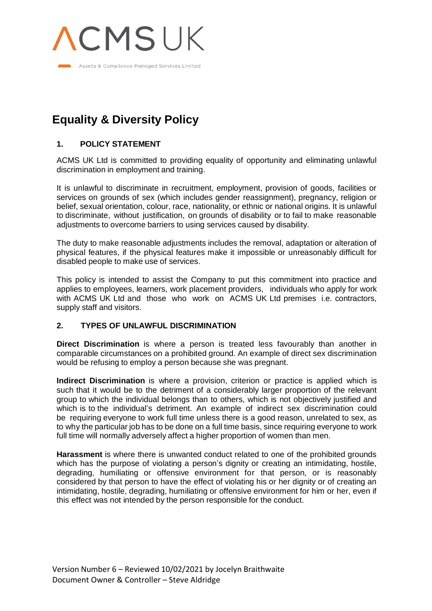

# **Equality & Diversity Policy**

## **1. POLICY STATEMENT**

ACMS UK Ltd is committed to providing equality of opportunity and eliminating unlawful discrimination in employment and training.

It is unlawful to discriminate in recruitment, employment, provision of goods, facilities or services on grounds of sex (which includes gender reassignment), pregnancy, religion or belief, sexual orientation, colour, race, nationality, or ethnic or national origins. It is unlawful to discriminate, without justification, on grounds of disability or to fail to make reasonable adjustments to overcome barriers to using services caused by disability.

The duty to make reasonable adjustments includes the removal, adaptation or alteration of physical features, if the physical features make it impossible or unreasonably difficult for disabled people to make use of services.

This policy is intended to assist the Company to put this commitment into practice and applies to employees, learners, work placement providers, individuals who apply for work with ACMS UK Ltd and those who work on ACMS UK Ltd premises i.e. contractors, supply staff and visitors.

## **2. TYPES OF UNLAWFUL DISCRIMINATION**

**Direct Discrimination** is where a person is treated less favourably than another in comparable circumstances on a prohibited ground. An example of direct sex discrimination would be refusing to employ a person because she was pregnant.

**Indirect Discrimination** is where a provision, criterion or practice is applied which is such that it would be to the detriment of a considerably larger proportion of the relevant group to which the individual belongs than to others, which is not objectively justified and which is to the individual's detriment. An example of indirect sex discrimination could be requiring everyone to work full time unless there is a good reason, unrelated to sex, as to why the particular job has to be done on a full time basis, since requiring everyone to work full time will normally adversely affect a higher proportion of women than men.

**Harassment** is where there is unwanted conduct related to one of the prohibited grounds which has the purpose of violating a person's dignity or creating an intimidating, hostile, degrading, humiliating or offensive environment for that person, or is reasonably considered by that person to have the effect of violating his or her dignity or of creating an intimidating, hostile, degrading, humiliating or offensive environment for him or her, even if this effect was not intended by the person responsible for the conduct.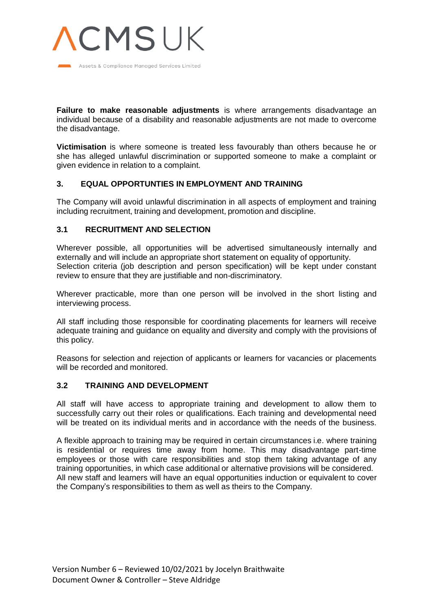

**Failure to make reasonable adjustments** is where arrangements disadvantage an individual because of a disability and reasonable adjustments are not made to overcome the disadvantage.

**Victimisation** is where someone is treated less favourably than others because he or she has alleged unlawful discrimination or supported someone to make a complaint or given evidence in relation to a complaint.

## **3. EQUAL OPPORTUNTIES IN EMPLOYMENT AND TRAINING**

The Company will avoid unlawful discrimination in all aspects of employment and training including recruitment, training and development, promotion and discipline.

## **3.1 RECRUITMENT AND SELECTION**

Wherever possible, all opportunities will be advertised simultaneously internally and externally and will include an appropriate short statement on equality of opportunity. Selection criteria (job description and person specification) will be kept under constant review to ensure that they are justifiable and non-discriminatory.

Wherever practicable, more than one person will be involved in the short listing and interviewing process.

All staff including those responsible for coordinating placements for learners will receive adequate training and guidance on equality and diversity and comply with the provisions of this policy.

Reasons for selection and rejection of applicants or learners for vacancies or placements will be recorded and monitored.

#### **3.2 TRAINING AND DEVELOPMENT**

All staff will have access to appropriate training and development to allow them to successfully carry out their roles or qualifications. Each training and developmental need will be treated on its individual merits and in accordance with the needs of the business.

A flexible approach to training may be required in certain circumstances i.e. where training is residential or requires time away from home. This may disadvantage part-time employees or those with care responsibilities and stop them taking advantage of any training opportunities, in which case additional or alternative provisions will be considered. All new staff and learners will have an equal opportunities induction or equivalent to cover the Company's responsibilities to them as well as theirs to the Company.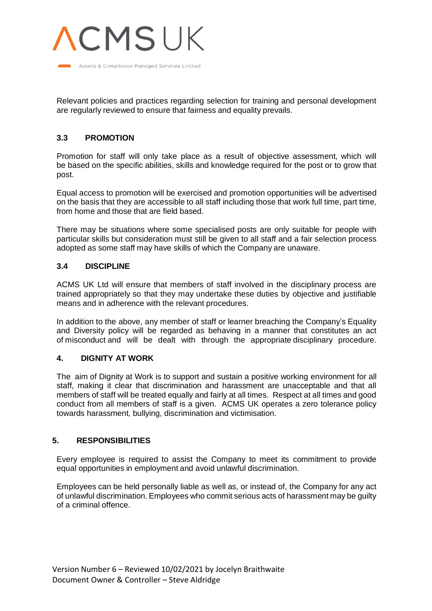

Relevant policies and practices regarding selection for training and personal development are regularly reviewed to ensure that fairness and equality prevails.

# **3.3 PROMOTION**

Promotion for staff will only take place as a result of objective assessment, which will be based on the specific abilities, skills and knowledge required for the post or to grow that post.

Equal access to promotion will be exercised and promotion opportunities will be advertised on the basis that they are accessible to all staff including those that work full time, part time, from home and those that are field based.

There may be situations where some specialised posts are only suitable for people with particular skills but consideration must still be given to all staff and a fair selection process adopted as some staff may have skills of which the Company are unaware.

## **3.4 DISCIPLINE**

ACMS UK Ltd will ensure that members of staff involved in the disciplinary process are trained appropriately so that they may undertake these duties by objective and justifiable means and in adherence with the relevant procedures.

In addition to the above, any member of staff or learner breaching the Company's Equality and Diversity policy will be regarded as behaving in a manner that constitutes an act of misconduct and will be dealt with through the appropriate disciplinary procedure.

## **4. DIGNITY AT WORK**

The aim of Dignity at Work is to support and sustain a positive working environment for all staff, making it clear that discrimination and harassment are unacceptable and that all members of staff will be treated equally and fairly at all times. Respect at all times and good conduct from all members of staff is a given. ACMS UK operates a zero tolerance policy towards harassment, bullying, discrimination and victimisation.

## **5. RESPONSIBILITIES**

Every employee is required to assist the Company to meet its commitment to provide equal opportunities in employment and avoid unlawful discrimination.

Employees can be held personally liable as well as, or instead of, the Company for any act of unlawful discrimination. Employees who commit serious acts of harassment may be guilty of a criminal offence.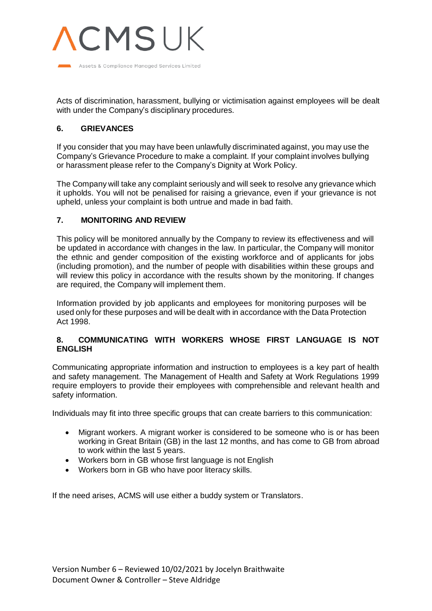

Acts of discrimination, harassment, bullying or victimisation against employees will be dealt with under the Company's disciplinary procedures.

## **6. GRIEVANCES**

If you consider that you may have been unlawfully discriminated against, you may use the Company's Grievance Procedure to make a complaint. If your complaint involves bullying or harassment please refer to the Company's Dignity at Work Policy.

The Company will take any complaint seriously and will seek to resolve any grievance which it upholds. You will not be penalised for raising a grievance, even if your grievance is not upheld, unless your complaint is both untrue and made in bad faith.

#### **7. MONITORING AND REVIEW**

This policy will be monitored annually by the Company to review its effectiveness and will be updated in accordance with changes in the law. In particular, the Company will monitor the ethnic and gender composition of the existing workforce and of applicants for jobs (including promotion), and the number of people with disabilities within these groups and will review this policy in accordance with the results shown by the monitoring. If changes are required, the Company will implement them.

Information provided by job applicants and employees for monitoring purposes will be used only for these purposes and will be dealt with in accordance with the Data Protection Act 1998.

## **8. COMMUNICATING WITH WORKERS WHOSE FIRST LANGUAGE IS NOT ENGLISH**

Communicating appropriate information and instruction to employees is a key part of health and safety management. The Management of Health and Safety at Work Regulations 1999 require employers to provide their employees with comprehensible and relevant health and safety information.

Individuals may fit into three specific groups that can create barriers to this communication:

- Migrant workers. A migrant worker is considered to be someone who is or has been working in Great Britain (GB) in the last 12 months, and has come to GB from abroad to work within the last 5 years.
- Workers born in GB whose first language is not English
- Workers born in GB who have poor literacy skills.

If the need arises, ACMS will use either a buddy system or Translators.